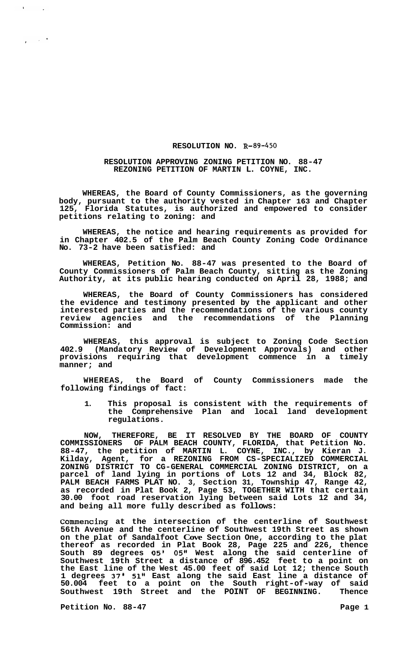## **RESOLUTION NO. R-89-450**

## **RESOLUTION APPROVING ZONING PETITION NO. 88-47 REZONING PETITION OF MARTIN L. COYNE, INC.**

**WHEREAS, the Board of County Commissioners, as the governing body, pursuant to the authority vested in Chapter 163 and Chapter 125, Florida Statutes, is authorized and empowered to consider petitions relating to zoning: and** 

**WHEREAS, the notice and hearing requirements as provided for in Chapter 402.5 of the Palm Beach County Zoning Code Ordinance No. 73-2 have been satisfied: and** 

**WHEREAS, Petition No. 88-47 was presented to the Board of County Commissioners of Palm Beach County, sitting as the Zoning Authority, at its public hearing conducted on April 28, 1988; and** 

**WHEREAS, the Board of County Commissioners has considered the evidence and testimony presented by the applicant and other interested parties and the recommendations of the various county review agencies and the recommendations of the Planning Commission: and** 

**WHEREAS, this approval is subject to Zoning Code Section 402.9 (Mandatory Review of Development Approvals) and other provisions requiring that development commence in a timely manner; and** 

**WHEREAS, the Board of County Commissioners made the following findings of fact:** 

**1. This proposal is consistent with the requirements of the Comprehensive Plan and local land development regulations.** 

**NOW, THEREFORE, BE IT RESOLVED BY THE BOARD OF COUNTY COMMISSIONERS OF PALM BEACH COUNTY, FLORIDA, that Petition No. 88-47, the petition of MARTIN L. COYNE, INC., by Kieran J. Kilday, Agent, for a REZONING FROM CS-SPECIALIZED COMMERCIAL parcel of land lying in portions of Lots 12 and 34, Block 82, PALM BEACH FARMS PLAT NO. 3, Section 31, Township 47, Range 42, as recorded in Plat Book 2, Page 53, TOGETHER WITH that certain 30.00 foot road reservation lying between said Lots 12 and 34, and being all more fully described as follows: ZONING DISTRICT TO CG-GENERAL COMMERCIAL ZONING DISTRICT, on a** 

**Commencing at the intersection of the centerline of Southwest 56th Avenue and the centerline of Southwest 19th Street as shown on the plat of Sandalfoot Cove Section One, according to the plat thereof as recorded in Plat Book 28, Page 225 and 226, thence South 89 degrees 05' 05" West along the said centerline of Southwest 19th Street a distance of 896.452 feet to a point on the East line of the West 45.00 feet of said Lot 12; thence South 1 degrees 37' 51" East along the said East line a distance of 50.004 feet to a point on the South right-of-way of said Southwest 19th Street and the POINT OF BEGINNING. Thence** 

Petition No. 88-47 Page 1